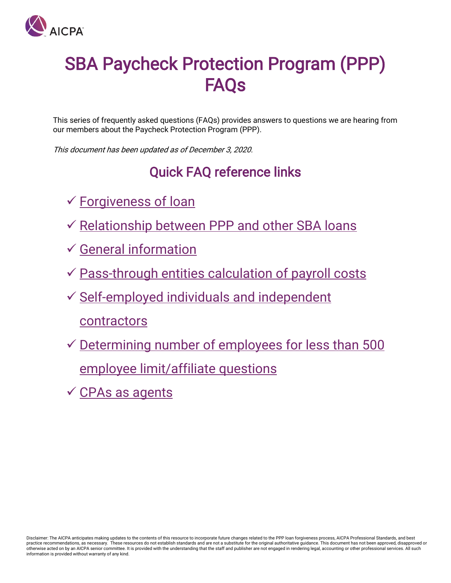

# SBA Paycheck Protection Program (PPP) **FAOs**

This series of frequently asked questions (FAQs) provides answers to questions we are hearing from our members about the Paycheck Protection Program (PPP).

This document has been updated as of December 3, 2020.

# Quick FAQ reference links

- [Forgiveness of loan](#page-1-0)
- $\checkmark$  [Relationship between PPP and other SBA loans](#page-10-0)
- [General information](#page-10-0)
- [Pass-through entities calculation of payroll costs](#page-14-0)
- $\checkmark$  Self-employed individuals and independent contractors
- $\checkmark$  Determining number of employees for less than 500 employee limit/affiliate questions
- $\checkmark$  [CPAs as agents](#page-17-0)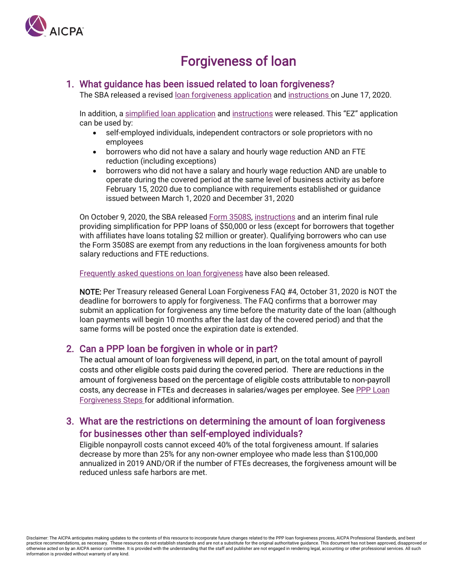

# Forgiveness of loan

#### <span id="page-1-0"></span>1. What guidance has been issued related to loan forgiveness?

The SBA released a revised [loan forgiveness application](https://home.treasury.gov/system/files/136/3245-0407-SBA-Form-3508-PPP-Forgiveness-Application.pdf) and [instructions](https://home.treasury.gov/system/files/136/PPP-Loan-Forgiveness-Application-Instructions_1_0.pdf) on June 17, 2020.

In addition, a [simplified loan application](https://home.treasury.gov/system/files/136/PPP-Forgiveness-Application-3508EZ.pdf) and [instructions](https://home.treasury.gov/system/files/136/PPP-Loan-Forgiveness-Application-Form-EZ-Instructions.pdf) were released. This "EZ" application can be used by:

- self-employed individuals, independent contractors or sole proprietors with no employees
- borrowers who did not have a salary and hourly wage reduction AND an FTE reduction (including exceptions)
- borrowers who did not have a salary and hourly wage reduction AND are unable to operate during the covered period at the same level of business activity as before February 15, 2020 due to compliance with requirements established or guidance issued between March 1, 2020 and December 31, 2020

On October 9, 2020, the SBA released [Form 3508S,](https://home.treasury.gov/system/files/136/PPP-Loan-Forgiveness-Application-Form-3508S.pdf) [instructions](https://home.treasury.gov/system/files/136/PPP-Loan-Forgiveness-Application-Form-3508S-Instructions.pdf) and an interim final rule providing simplification for PPP loans of \$50,000 or less (except for borrowers that together with affiliates have loans totaling \$2 million or greater). Qualifying borrowers who can use the Form 3508S are exempt from any reductions in the loan forgiveness amounts for both salary reductions and FTE reductions.

[Frequently asked questions on loan forgiveness](https://home.treasury.gov/system/files/136/PPP--Loan-Forgiveness-FAQs.pdf) have also been released.

NOTE: Per Treasury released General Loan Forgiveness FAQ #4, October 31, 2020 is NOT the deadline for borrowers to apply for forgiveness. The FAQ confirms that a borrower may submit an application for forgiveness any time before the maturity date of the loan (although loan payments will begin 10 months after the last day of the covered period) and that the same forms will be posted once the expiration date is extended.

#### 2. Can a PPP loan be forgiven in whole or in part?

The actual amount of loan forgiveness will depend, in part, on the total amount of payroll costs and other eligible costs paid during the covered period. There are reductions in the amount of forgiveness based on the percentage of eligible costs attributable to non-payroll costs, any decrease in FTEs and decreases in salaries/wages per employee. Se[e PPP Loan](https://www.aicpa.org/content/dam/aicpa/interestareas/privatecompaniespracticesection/qualityservicesdelivery/ussba/downloadabledocuments/coronavirus-ppp-loan-forgiveness-calculation-steps.pdf)  [Forgiveness Steps f](https://www.aicpa.org/content/dam/aicpa/interestareas/privatecompaniespracticesection/qualityservicesdelivery/ussba/downloadabledocuments/coronavirus-ppp-loan-forgiveness-calculation-steps.pdf)or additional information.

### 3. What are the restrictions on determining the amount of loan forgiveness for businesses other than self-employed individuals?

Eligible nonpayroll costs cannot exceed 40% of the total forgiveness amount. If salaries decrease by more than 25% for any non-owner employee who made less than \$100,000 annualized in 2019 AND/OR if the number of FTEs decreases, the forgiveness amount will be reduced unless safe harbors are met.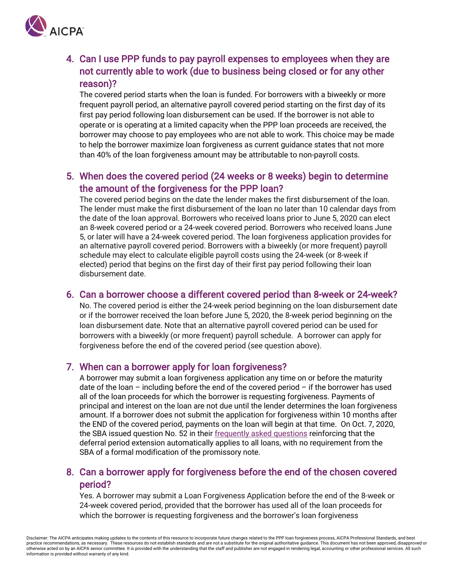

# 4. Can I use PPP funds to pay payroll expenses to employees when they are not currently able to work (due to business being closed or for any other reason)?

The covered period starts when the loan is funded. For borrowers with a biweekly or more frequent payroll period, an alternative payroll covered period starting on the first day of its first pay period following loan disbursement can be used. If the borrower is not able to operate or is operating at a limited capacity when the PPP loan proceeds are received, the borrower may choose to pay employees who are not able to work. This choice may be made to help the borrower maximize loan forgiveness as current guidance states that not more than 40% of the loan forgiveness amount may be attributable to non-payroll costs.

## 5. When does the covered period (24 weeks or 8 weeks) begin to determine the amount of the forgiveness for the PPP loan?

The covered period begins on the date the lender makes the first disbursement of the loan. The lender must make the first disbursement of the loan no later than 10 calendar days from the date of the loan approval. Borrowers who received loans prior to June 5, 2020 can elect an 8-week covered period or a 24-week covered period. Borrowers who received loans June 5, or later will have a 24-week covered period. The loan forgiveness application provides for an alternative payroll covered period. Borrowers with a biweekly (or more frequent) payroll schedule may elect to calculate eligible payroll costs using the 24-week (or 8-week if elected) period that begins on the first day of their first pay period following their loan disbursement date.

#### 6. Can a borrower choose a different covered period than 8-week or 24-week?

No. The covered period is either the 24-week period beginning on the loan disbursement date or if the borrower received the loan before June 5, 2020, the 8-week period beginning on the loan disbursement date. Note that an alternative payroll covered period can be used for borrowers with a biweekly (or more frequent) payroll schedule. A borrower can apply for forgiveness before the end of the covered period (see question above).

#### 7. When can a borrower apply for loan forgiveness?

A borrower may submit a loan forgiveness application any time on or before the maturity date of the loan – including before the end of the covered period – if the borrower has used all of the loan proceeds for which the borrower is requesting forgiveness. Payments of principal and interest on the loan are not due until the lender determines the loan forgiveness amount. If a borrower does not submit the application for forgiveness within 10 months after the END of the covered period, payments on the loan will begin at that time. On Oct. 7, 2020, the SBA issued question No. 52 in their [frequently asked questions](https://www.sba.gov/sites/default/files/2020-10/Final%20PPP%20FAQs%20%28October%207%2C%202020%29.pdf) reinforcing that the deferral period extension automatically applies to all loans, with no requirement from the SBA of a formal modification of the promissory note.

#### 8. Can a borrower apply for forgiveness before the end of the chosen covered period?

Yes. A borrower may submit a Loan Forgiveness Application before the end of the 8-week or 24-week covered period, provided that the borrower has used all of the loan proceeds for which the borrower is requesting forgiveness and the borrower's loan forgiveness

Disclaimer: The AICPA anticipates making updates to the contents of this resource to incorporate future changes related to the PPP loan forgiveness process, AICPA Professional Standards, and best practice recommendations, as necessary. These resources do not establish standards and are not a substitute for the original authoritative guidance. This document has not been approved, disapproved or otherwise acted on by an AICPA senior committee. It is provided with the understanding that the staff and publisher are not engaged in rendering legal, accounting or other professional services. All such information is provided without warranty of any kind.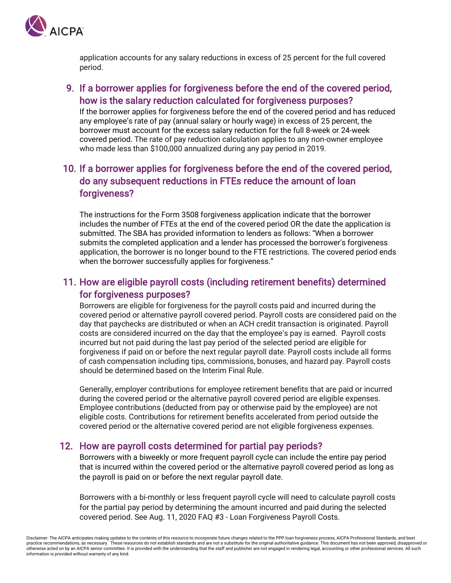

application accounts for any salary reductions in excess of 25 percent for the full covered period.

### 9. If a borrower applies for forgiveness before the end of the covered period, how is the salary reduction calculated for forgiveness purposes?

If the borrower applies for forgiveness before the end of the covered period and has reduced any employee's rate of pay (annual salary or hourly wage) in excess of 25 percent, the borrower must account for the excess salary reduction for the full 8-week or 24-week covered period. The rate of pay reduction calculation applies to any non-owner employee who made less than \$100,000 annualized during any pay period in 2019.

# 10. If a borrower applies for forgiveness before the end of the covered period, do any subsequent reductions in FTEs reduce the amount of loan forgiveness?

The instructions for the Form 3508 forgiveness application indicate that the borrower includes the number of FTEs at the end of the covered period OR the date the application is submitted. The SBA has provided information to lenders as follows: "When a borrower submits the completed application and a lender has processed the borrower's forgiveness application, the borrower is no longer bound to the FTE restrictions. The covered period ends when the borrower successfully applies for forgiveness."

# 11. How are eligible payroll costs (including retirement benefits) determined for forgiveness purposes?

Borrowers are eligible for forgiveness for the payroll costs paid and incurred during the covered period or alternative payroll covered period. Payroll costs are considered paid on the day that paychecks are distributed or when an ACH credit transaction is originated. Payroll costs are considered incurred on the day that the employee's pay is earned. Payroll costs incurred but not paid during the last pay period of the selected period are eligible for forgiveness if paid on or before the next regular payroll date. Payroll costs include all forms of cash compensation including tips, commissions, bonuses, and hazard pay. Payroll costs should be determined based on the Interim Final Rule.

Generally, employer contributions for employee retirement benefits that are paid or incurred during the covered period or the alternative payroll covered period are eligible expenses. Employee contributions (deducted from pay or otherwise paid by the employee) are not eligible costs. Contributions for retirement benefits accelerated from period outside the covered period or the alternative covered period are not eligible forgiveness expenses.

#### 12. How are payroll costs determined for partial pay periods?

Borrowers with a biweekly or more frequent payroll cycle can include the entire pay period that is incurred within the covered period or the alternative payroll covered period as long as the payroll is paid on or before the next regular payroll date.

Borrowers with a bi-monthly or less frequent payroll cycle will need to calculate payroll costs for the partial pay period by determining the amount incurred and paid during the selected covered period. See Aug. 11, 2020 FAQ #3 - Loan Forgiveness Payroll Costs.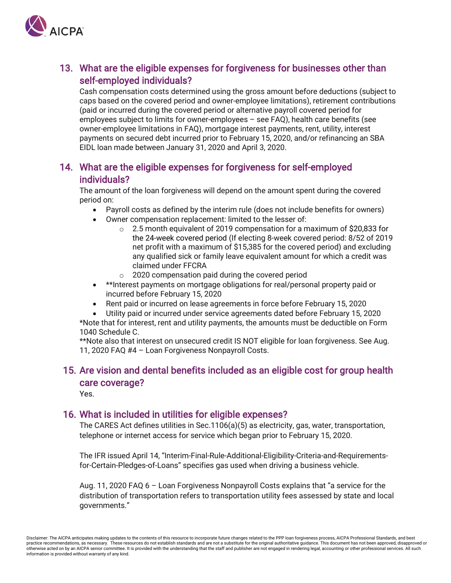

# 13. What are the eligible expenses for forgiveness for businesses other than self-employed individuals?

Cash compensation costs determined using the gross amount before deductions (subject to caps based on the covered period and owner-employee limitations), retirement contributions (paid or incurred during the covered period or alternative payroll covered period for employees subject to limits for owner-employees – see FAQ), health care benefits (see owner-employee limitations in FAQ), mortgage interest payments, rent, utility, interest payments on secured debt incurred prior to February 15, 2020, and/or refinancing an SBA EIDL loan made between January 31, 2020 and April 3, 2020.

#### 14. What are the eligible expenses for forgiveness for self-employed individuals?

The amount of the loan forgiveness will depend on the amount spent during the covered period on:

- Payroll costs as defined by the interim rule (does not include benefits for owners)
- Owner compensation replacement: limited to the lesser of:
	- o 2.5 month equivalent of 2019 compensation for a maximum of \$20,833 for the 24-week covered period (If electing 8-week covered period: 8/52 of 2019 net profit with a maximum of \$15,385 for the covered period) and excluding any qualified sick or family leave equivalent amount for which a credit was claimed under FFCRA
	- o 2020 compensation paid during the covered period
- \*\*Interest payments on mortgage obligations for real/personal property paid or incurred before February 15, 2020
- Rent paid or incurred on lease agreements in force before February 15, 2020
- Utility paid or incurred under service agreements dated before February 15, 2020

\*Note that for interest, rent and utility payments, the amounts must be deductible on Form 1040 Schedule C.

\*\*Note also that interest on unsecured credit IS NOT eligible for loan forgiveness. See Aug. 11, 2020 FAQ #4 – Loan Forgiveness Nonpayroll Costs.

### 15. Are vision and dental benefits included as an eligible cost for group health care coverage?

Yes.

#### 16. What is included in utilities for eligible expenses?

The CARES Act defines utilities in Sec.1106(a)(5) as electricity, gas, water, transportation, telephone or internet access for service which began prior to February 15, 2020.

The IFR issued April 14, "Interim-Final-Rule-Additional-Eligibility-Criteria-and-Requirementsfor-Certain-Pledges-of-Loans" specifies gas used when driving a business vehicle.

Aug. 11, 2020 FAQ 6 – Loan Forgiveness Nonpayroll Costs explains that "a service for the distribution of transportation refers to transportation utility fees assessed by state and local governments."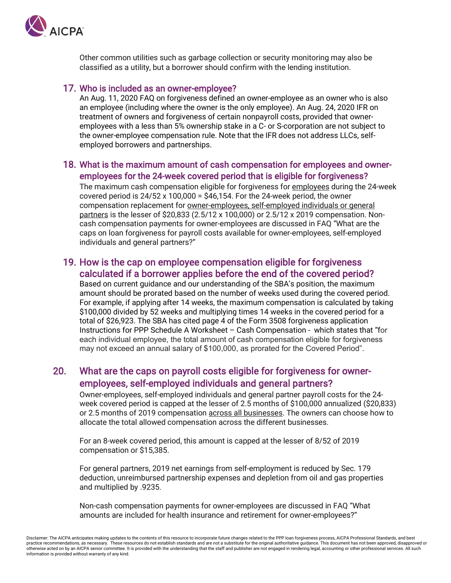

Other common utilities such as garbage collection or security monitoring may also be classified as a utility, but a borrower should confirm with the lending institution.

#### 17. Who is included as an owner-employee?

An Aug. 11, 2020 FAQ on forgiveness defined an owner-employee as an owner who is also an employee (including where the owner is the only employee). An Aug. 24, 2020 IFR on treatment of owners and forgiveness of certain nonpayroll costs, provided that owneremployees with a less than 5% ownership stake in a C- or S-corporation are not subject to the owner-employee compensation rule. Note that the IFR does not address LLCs, selfemployed borrowers and partnerships.

#### 18. What is the maximum amount of cash compensation for employees and owneremployees for the 24-week covered period that is eligible for forgiveness?

The maximum cash compensation eligible for forgiveness for employees during the 24-week covered period is 24/52 x 100,000 = \$46,154. For the 24-week period, the owner compensation replacement for owner-employees, self-employed individuals or general partners is the lesser of \$20,833 (2.5/12 x 100,000) or 2.5/12 x 2019 compensation. Noncash compensation payments for owner-employees are discussed in FAQ "What are the caps on loan forgiveness for payroll costs available for owner-employees, self-employed individuals and general partners?"

#### 19. How is the cap on employee compensation eligible for forgiveness calculated if a borrower applies before the end of the covered period?

Based on current guidance and our understanding of the SBA's position, the maximum amount should be prorated based on the number of weeks used during the covered period. For example, if applying after 14 weeks, the maximum compensation is calculated by taking \$100,000 divided by 52 weeks and multiplying times 14 weeks in the covered period for a total of \$26,923. The SBA has cited page 4 of the Form 3508 forgiveness application Instructions for PPP Schedule A Worksheet – Cash Compensation - which states that "for each individual employee, the total amount of cash compensation eligible for forgiveness may not exceed an annual salary of \$100,000, as prorated for the Covered Period".

#### 20. What are the caps on payroll costs eligible for forgiveness for owneremployees, self-employed individuals and general partners?

Owner-employees, self-employed individuals and general partner payroll costs for the 24 week covered period is capped at the lesser of 2.5 months of \$100,000 annualized (\$20,833) or 2.5 months of 2019 compensation across all businesses. The owners can choose how to allocate the total allowed compensation across the different businesses.

For an 8-week covered period, this amount is capped at the lesser of 8/52 of 2019 compensation or \$15,385.

For general partners, 2019 net earnings from self-employment is reduced by Sec. 179 deduction, unreimbursed partnership expenses and depletion from oil and gas properties and multiplied by .9235.

Non-cash compensation payments for owner-employees are discussed in FAQ "What amounts are included for health insurance and retirement for owner-employees?"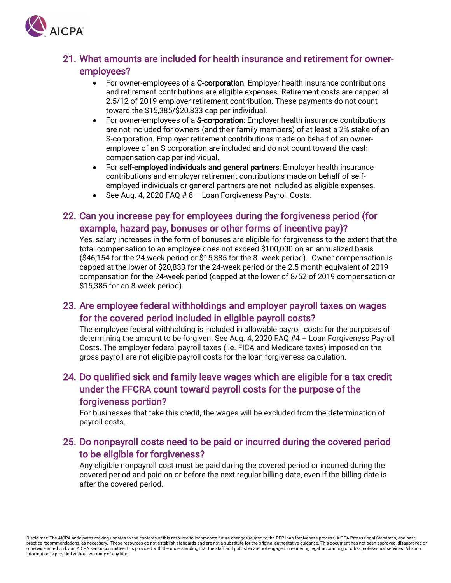

#### 21. What amounts are included for health insurance and retirement for owneremployees?

- For owner-employees of a C-corporation: Employer health insurance contributions and retirement contributions are eligible expenses. Retirement costs are capped at 2.5/12 of 2019 employer retirement contribution. These payments do not count toward the \$15,385/\$20,833 cap per individual.
- For owner-employees of a S-corporation: Employer health insurance contributions are not included for owners (and their family members) of at least a 2% stake of an S-corporation. Employer retirement contributions made on behalf of an owneremployee of an S corporation are included and do not count toward the cash compensation cap per individual.
- For self-employed individuals and general partners: Employer health insurance contributions and employer retirement contributions made on behalf of selfemployed individuals or general partners are not included as eligible expenses.
- See Aug. 4, 2020 FAQ # 8 Loan Forgiveness Payroll Costs.

### 22. Can you increase pay for employees during the forgiveness period (for example, hazard pay, bonuses or other forms of incentive pay)?

Yes, salary increases in the form of bonuses are eligible for forgiveness to the extent that the total compensation to an employee does not exceed \$100,000 on an annualized basis (\$46,154 for the 24-week period or \$15,385 for the 8- week period). Owner compensation is capped at the lower of \$20,833 for the 24-week period or the 2.5 month equivalent of 2019 compensation for the 24-week period (capped at the lower of 8/52 of 2019 compensation or \$15,385 for an 8-week period).

#### 23. Are employee federal withholdings and employer payroll taxes on wages for the covered period included in eligible payroll costs?

The employee federal withholding is included in allowable payroll costs for the purposes of determining the amount to be forgiven. See Aug. 4, 2020 FAQ #4 – Loan Forgiveness Payroll Costs. The employer federal payroll taxes (i.e. FICA and Medicare taxes) imposed on the gross payroll are not eligible payroll costs for the loan forgiveness calculation.

## 24. Do qualified sick and family leave wages which are eligible for a tax credit under the FFCRA count toward payroll costs for the purpose of the forgiveness portion?

For businesses that take this credit, the wages will be excluded from the determination of payroll costs.

### 25. Do nonpayroll costs need to be paid or incurred during the covered period to be eligible for forgiveness?

Any eligible nonpayroll cost must be paid during the covered period or incurred during the covered period and paid on or before the next regular billing date, even if the billing date is after the covered period.

Disclaimer: The AICPA anticipates making updates to the contents of this resource to incorporate future changes related to the PPP loan forgiveness process, AICPA Professional Standards, and best practice recommendations, as necessary. These resources do not establish standards and are not a substitute for the original authoritative guidance. This document has not been approved, disapproved or otherwise acted on by an AICPA senior committee. It is provided with the understanding that the staff and publisher are not engaged in rendering legal, accounting or other professional services. All such information is provided without warranty of any kind.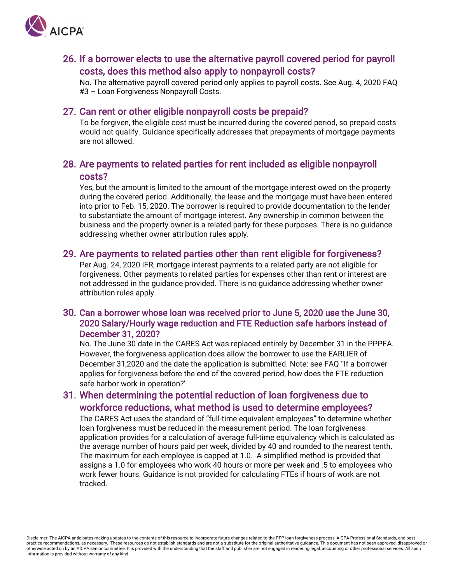

#### 26. If a borrower elects to use the alternative payroll covered period for payroll costs, does this method also apply to nonpayroll costs?

No. The alternative payroll covered period only applies to payroll costs. See Aug. 4, 2020 FAQ #3 – Loan Forgiveness Nonpayroll Costs.

#### 27. Can rent or other eligible nonpayroll costs be prepaid?

To be forgiven, the eligible cost must be incurred during the covered period, so prepaid costs would not qualify. Guidance specifically addresses that prepayments of mortgage payments are not allowed.

#### 28. Are payments to related parties for rent included as eligible nonpayroll costs?

Yes, but the amount is limited to the amount of the mortgage interest owed on the property during the covered period. Additionally, the lease and the mortgage must have been entered into prior to Feb. 15, 2020. The borrower is required to provide documentation to the lender to substantiate the amount of mortgage interest. Any ownership in common between the business and the property owner is a related party for these purposes. There is no guidance addressing whether owner attribution rules apply.

#### 29. Are payments to related parties other than rent eligible for forgiveness?

Per Aug. 24, 2020 IFR, mortgage interest payments to a related party are not eligible for forgiveness. Other payments to related parties for expenses other than rent or interest are not addressed in the guidance provided. There is no guidance addressing whether owner attribution rules apply.

#### 30. Can a borrower whose loan was received prior to June 5, 2020 use the June 30, 2020 Salary/Hourly wage reduction and FTE Reduction safe harbors instead of December 31, 2020?

No. The June 30 date in the CARES Act was replaced entirely by December 31 in the PPPFA. However, the forgiveness application does allow the borrower to use the EARLIER of December 31,2020 and the date the application is submitted. Note: see FAQ "If a borrower applies for forgiveness before the end of the covered period, how does the FTE reduction safe harbor work in operation?'

#### 31. When determining the potential reduction of loan forgiveness due to workforce reductions, what method is used to determine employees?

The CARES Act uses the standard of "full-time equivalent employees" to determine whether loan forgiveness must be reduced in the measurement period. The loan forgiveness application provides for a calculation of average full-time equivalency which is calculated as the average number of hours paid per week, divided by 40 and rounded to the nearest tenth. The maximum for each employee is capped at 1.0. A simplified method is provided that assigns a 1.0 for employees who work 40 hours or more per week and .5 to employees who work fewer hours. Guidance is not provided for calculating FTEs if hours of work are not tracked.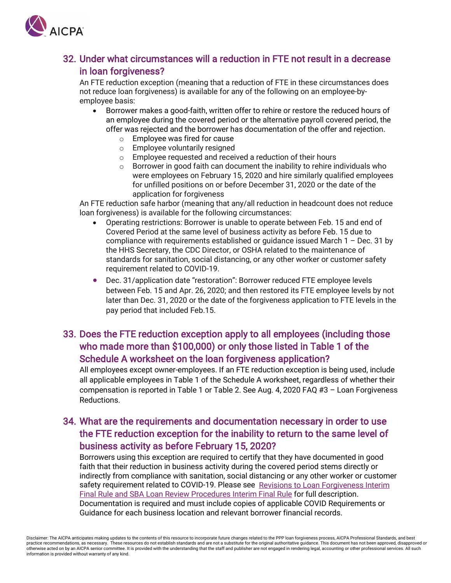

# 32. Under what circumstances will a reduction in FTE not result in a decrease in loan forgiveness?

An FTE reduction exception (meaning that a reduction of FTE in these circumstances does not reduce loan forgiveness) is available for any of the following on an employee-byemployee basis:

- Borrower makes a good-faith, written offer to rehire or restore the reduced hours of an employee during the covered period or the alternative payroll covered period, the offer was rejected and the borrower has documentation of the offer and rejection.
	- o Employee was fired for cause
	- o Employee voluntarily resigned
	- $\circ$  Employee requested and received a reduction of their hours  $\circ$  Borrower in good faith can document the inability to rehire in
	- Borrower in good faith can document the inability to rehire individuals who were employees on February 15, 2020 and hire similarly qualified employees for unfilled positions on or before December 31, 2020 or the date of the application for forgiveness

An FTE reduction safe harbor (meaning that any/all reduction in headcount does not reduce loan forgiveness) is available for the following circumstances:

- Operating restrictions: Borrower is unable to operate between Feb. 15 and end of Covered Period at the same level of business activity as before Feb. 15 due to compliance with requirements established or guidance issued March 1 – Dec. 31 by the HHS Secretary, the CDC Director, or OSHA related to the maintenance of standards for sanitation, social distancing, or any other worker or customer safety requirement related to COVID-19.
- Dec. 31/application date "restoration": Borrower reduced FTE employee levels between Feb. 15 and Apr. 26, 2020; and then restored its FTE employee levels by not later than Dec. 31, 2020 or the date of the forgiveness application to FTE levels in the pay period that included Feb.15.

# 33. Does the FTE reduction exception apply to all employees (including those who made more than \$100,000) or only those listed in Table 1 of the Schedule A worksheet on the loan forgiveness application?

All employees except owner-employees. If an FTE reduction exception is being used, include all applicable employees in Table 1 of the Schedule A worksheet, regardless of whether their compensation is reported in Table 1 or Table 2. See Aug. 4, 2020 FAQ #3 – Loan Forgiveness Reductions.

## 34. What are the requirements and documentation necessary in order to use the FTE reduction exception for the inability to return to the same level of business activity as before February 15, 2020?

Borrowers using this exception are required to certify that they have documented in good faith that their reduction in business activity during the covered period stems directly or indirectly from compliance with sanitation, social distancing or any other worker or customer safety requirement related to COVID-19. Please see Revisions to Loan Forgiveness Interim [Final Rule and SBA Loan Review Procedures Interim Final Rule](https://home.treasury.gov/system/files/136/PPP--IFR--Revisions-to-Loan-Forgiveness-Interim-Final-Rule-and-SBA-Loan-Review-Procedures-Interim-Final-Rule.pdf) for full description. Documentation is required and must include copies of applicable COVID Requirements or Guidance for each business location and relevant borrower financial records.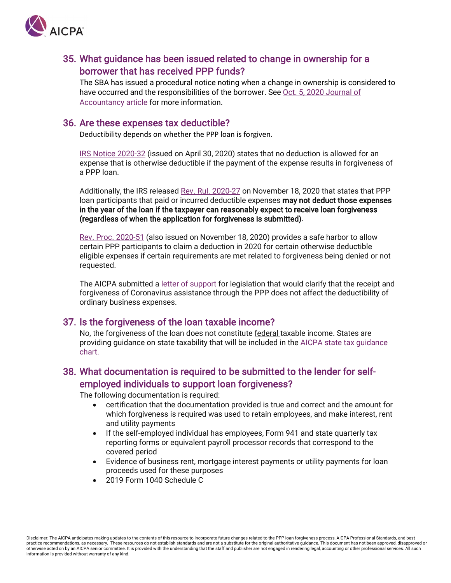

#### 35. What guidance has been issued related to change in ownership for a borrower that has received PPP funds?

The SBA has issued a procedural notice noting when a change in ownership is considered to have occurred and the responsibilities of the borrower. See [Oct. 5, 2020 Journal of](https://www.journalofaccountancy.com/news/2020/oct/ppp-borrowers-lenders-change-in-ownership-guidance.html)  [Accountancy article](https://www.journalofaccountancy.com/news/2020/oct/ppp-borrowers-lenders-change-in-ownership-guidance.html) for more information.

#### 36. Are these expenses tax deductible?

Deductibility depends on whether the PPP loan is forgiven.

[IRS Notice 2020-32](https://www.irs.gov/pub/irs-drop/n-20-32.pdf) (issued on April 30, 2020) states that no deduction is allowed for an expense that is otherwise deductible if the payment of the expense results in forgiveness of a PPP loan.

Additionally, the IRS released [Rev. Rul. 2020-27](https://www.irs.gov/pub/irs-drop/rr-20-27.pdf) on November 18, 2020 that states that PPP loan participants that paid or incurred deductible expenses may not deduct those expenses in the year of the loan if the taxpayer can reasonably expect to receive loan forgiveness (regardless of when the application for forgiveness is submitted).

[Rev. Proc. 2020-51](https://www.irs.gov/pub/irs-drop/rp-20-51.pdf) (also issued on November 18, 2020) provides a safe harbor to allow certain PPP participants to claim a deduction in 2020 for certain otherwise deductible eligible expenses if certain requirements are met related to forgiveness being denied or not requested.

The AICPA submitted a [letter of support](https://www.aicpa.org/content/dam/aicpa/advocacy/tax/downloadabledocuments/20200506-aicpa-letter-of-support-for-coronavirus-s-3612-small-business-expense-protection-act-of-2020.pdf) for legislation that would clarify that the receipt and forgiveness of Coronavirus assistance through the PPP does not affect the deductibility of ordinary business expenses.

#### 37. Is the forgiveness of the loan taxable income?

No, the forgiveness of the loan does not constitute federal taxable income. States are providing guidance on state taxability that will be included in the [AICPA state tax guidance](https://www.aicpa.org/content/dam/aicpa/advocacy/tax/downloadabledocuments/coronavirus-state-filing-relief.pdf)  [chart.](https://www.aicpa.org/content/dam/aicpa/advocacy/tax/downloadabledocuments/coronavirus-state-filing-relief.pdf)

### 38. What documentation is required to be submitted to the lender for selfemployed individuals to support loan forgiveness?

The following documentation is required:

- certification that the documentation provided is true and correct and the amount for which forgiveness is required was used to retain employees, and make interest, rent and utility payments
- If the self-employed individual has employees, Form 941 and state quarterly tax reporting forms or equivalent payroll processor records that correspond to the covered period
- Evidence of business rent, mortgage interest payments or utility payments for loan proceeds used for these purposes
- 2019 Form 1040 Schedule C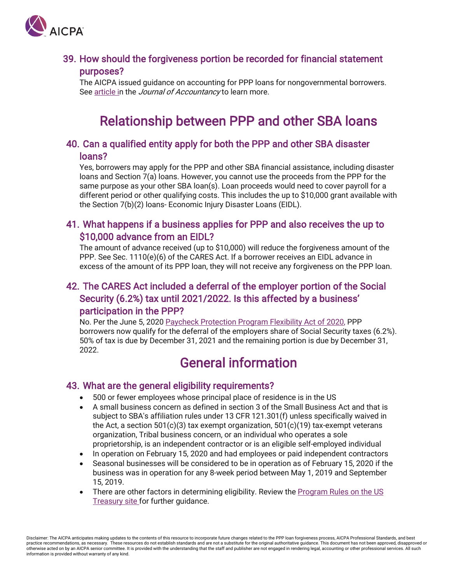<span id="page-10-0"></span>

#### 39. How should the forgiveness portion be recorded for financial statement purposes?

The AICPA issued guidance on accounting for PPP loans for nongovernmental borrowers. See [article](https://www.journalofaccountancy.com/news/2020/jun/forgivable-ppp-loans-aicpa-accounting-guidance.html) in the *Journal of Accountancy* to learn more.

# Relationship between PPP and other SBA loans

#### 40. Can a qualified entity apply for both the PPP and other SBA disaster loans?

Yes, borrowers may apply for the PPP and other SBA financial assistance, including disaster loans and Section 7(a) loans. However, you cannot use the proceeds from the PPP for the same purpose as your other SBA loan(s). Loan proceeds would need to cover payroll for a different period or other qualifying costs. This includes the up to \$10,000 grant available with the Section 7(b)(2) loans- Economic Injury Disaster Loans (EIDL).

#### 41. What happens if a business applies for PPP and also receives the up to \$10,000 advance from an EIDL?

The amount of advance received (up to \$10,000) will reduce the forgiveness amount of the PPP. See Sec. 1110(e)(6) of the CARES Act. If a borrower receives an EIDL advance in excess of the amount of its PPP loan, they will not receive any forgiveness on the PPP loan.

# 42. The CARES Act included a deferral of the employer portion of the Social Security (6.2%) tax until 2021/2022. Is this affected by a business' participation in the PPP?

No. Per the June 5, 2020 [Paycheck Protection Program Flexibility Act of 2020,](https://www.congress.gov/bill/116th-congress/house-bill/7010/text) PPP borrowers now qualify for the deferral of the employers share of Social Security taxes (6.2%). 50% of tax is due by December 31, 2021 and the remaining portion is due by December 31, 2022.

# General information

#### 43. What are the general eligibility requirements?

- 500 or fewer employees whose principal place of residence is in the US
- A small business concern as defined in section 3 of the Small Business Act and that is subject to SBA's affiliation rules under 13 CFR 121.301(f) unless specifically waived in the Act, a section 501(c)(3) tax exempt organization,  $501(c)(19)$  tax-exempt veterans organization, Tribal business concern, or an individual who operates a sole proprietorship, is an independent contractor or is an eligible self-employed individual
- In operation on February 15, 2020 and had employees or paid independent contractors
- Seasonal businesses will be considered to be in operation as of February 15, 2020 if the business was in operation for any 8-week period between May 1, 2019 and September 15, 2019.
- There are other factors in determining eligibility. Review the Program Rules on the US [Treasury site](https://home.treasury.gov/policy-issues/cares/assistance-for-small-businesses) for further guidance.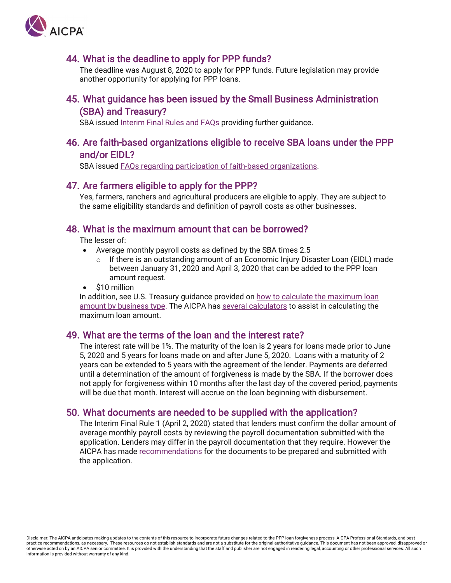

#### 44. What is the deadline to apply for PPP funds?

The deadline was August 8, 2020 to apply for PPP funds. Future legislation may provide another opportunity for applying for PPP loans.

#### 45. What guidance has been issued by the Small Business Administration (SBA) and Treasury?

SBA issue[d Interim Final Rules and FAQs](https://home.treasury.gov/policy-issues/cares/assistance-for-small-businesses) providing further guidance.

#### 46. Are faith-based organizations eligible to receive SBA loans under the PPP and/or EIDL?

SBA issued [FAQs regarding participation of faith-based organizations.](https://www.sba.gov/sites/default/files/2020-04/SBA%20Faith-Based%20FAQ%20Final.pdf)

#### 47. Are farmers eligible to apply for the PPP?

Yes, farmers, ranchers and agricultural producers are eligible to apply. They are subject to the same eligibility standards and definition of payroll costs as other businesses.

#### 48. What is the maximum amount that can be borrowed?

The lesser of:

- Average monthly payroll costs as defined by the SBA times 2.5
	- $\circ$  If there is an outstanding amount of an Economic Injury Disaster Loan (EIDL) made between January 31, 2020 and April 3, 2020 that can be added to the PPP loan amount request.
- \$10 million

In addition, see U.S. Treasury guidance provided on [how to calculate the maximum loan](https://home.treasury.gov/system/files/136/How-to-Calculate-Loan-Amounts.pdf)  [amount by business type.](https://home.treasury.gov/system/files/136/How-to-Calculate-Loan-Amounts.pdf) The AICPA has [several calculators](https://future.aicpa.org/resources/toolkit/paycheck-protection-program-resources-for-cpas) to assist in calculating the maximum loan amount.

#### 49. What are the terms of the loan and the interest rate?

The interest rate will be 1%. The maturity of the loan is 2 years for loans made prior to June 5, 2020 and 5 years for loans made on and after June 5, 2020. Loans with a maturity of 2 years can be extended to 5 years with the agreement of the lender. Payments are deferred until a determination of the amount of forgiveness is made by the SBA. If the borrower does not apply for forgiveness within 10 months after the last day of the covered period, payments will be due that month. Interest will accrue on the loan beginning with disbursement.

#### 50. What documents are needed to be supplied with the application?

The Interim Final Rule 1 (April 2, 2020) stated that lenders must confirm the dollar amount of average monthly payroll costs by reviewing the payroll documentation submitted with the application. Lenders may differ in the payroll documentation that they require. However the AICPA has made [recommendations](https://www.aicpa.org/content/dam/aicpa/press/pressreleases/2020/aicpa-ppp-recommendations-letter.pdf) for the documents to be prepared and submitted with the application.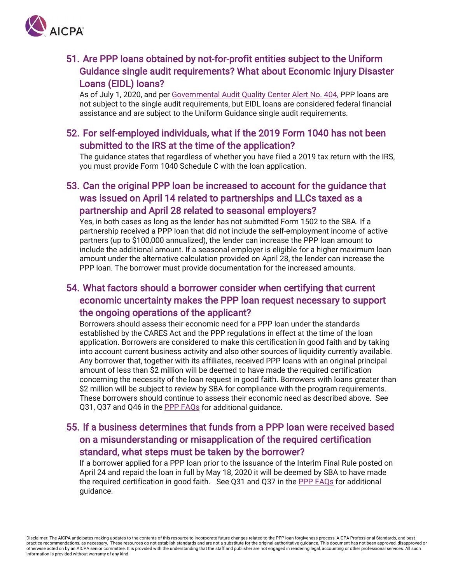

# 51. Are PPP loans obtained by not-for-profit entities subject to the Uniform Guidance single audit requirements? What about Economic Injury Disaster Loans (EIDL) loans?

As of July 1, 2020, and per [Governmental Audit Quality Center Alert No. 404,](https://www.aicpa.org/interestareas/governmentalauditquality/newsandpublications/gaqcalert/2020gaqcarchivedalerts/gaqcalertno404.html?utm_medium=email&SubscriberID=114161470&utm_source=GAQC20&Site=AICPA&LinkID=9378072&utm_campaign=GAQC_AlertJUN20&cid=email:GAQC20:GAQC_AlertJUN20:https%3a%2f%2fwww.aicpa.org%2finterestareas%2fgovernmentalauditquality%2fnewsandpublications%2fgaqcalert%2f2020gaqcarchivedalerts%2fgaqcalertno404.html:AICPA&SendID=288654&utm_content=A20JUN408_GAQC_Alert408#l1) PPP loans are not subject to the single audit requirements, but EIDL loans are considered federal financial assistance and are subject to the Uniform Guidance single audit requirements.

#### 52. For self-employed individuals, what if the 2019 Form 1040 has not been submitted to the IRS at the time of the application?

The guidance states that regardless of whether you have filed a 2019 tax return with the IRS, you must provide Form 1040 Schedule C with the loan application.

# 53. Can the original PPP loan be increased to account for the guidance that was issued on April 14 related to partnerships and LLCs taxed as a partnership and April 28 related to seasonal employers?

Yes, in both cases as long as the lender has not submitted Form 1502 to the SBA. If a partnership received a PPP loan that did not include the self-employment income of active partners (up to \$100,000 annualized), the lender can increase the PPP loan amount to include the additional amount. If a seasonal employer is eligible for a higher maximum loan amount under the alternative calculation provided on April 28, the lender can increase the PPP loan. The borrower must provide documentation for the increased amounts.

# 54. What factors should a borrower consider when certifying that current economic uncertainty makes the PPP loan request necessary to support the ongoing operations of the applicant?

Borrowers should assess their economic need for a PPP loan under the standards established by the CARES Act and the PPP regulations in effect at the time of the loan application. Borrowers are considered to make this certification in good faith and by taking into account current business activity and also other sources of liquidity currently available. Any borrower that, together with its affiliates, received PPP loans with an original principal amount of less than \$2 million will be deemed to have made the required certification concerning the necessity of the loan request in good faith. Borrowers with loans greater than \$2 million will be subject to review by SBA for compliance with the program requirements. These borrowers should continue to assess their economic need as described above. See Q31, Q37 and Q46 in the [PPP FAQs](https://home.treasury.gov/system/files/136/Paycheck-Protection-Program-Frequently-Asked-Questions.pdf) for additional guidance.

# 55. If a business determines that funds from a PPP loan were received based on a misunderstanding or misapplication of the required certification standard, what steps must be taken by the borrower?

If a borrower applied for a PPP loan prior to the issuance of the Interim Final Rule posted on April 24 and repaid the loan in full by May 18, 2020 it will be deemed by SBA to have made the required certification in good faith. See Q31 and Q37 in the [PPP FAQs](https://home.treasury.gov/system/files/136/Paycheck-Protection-Program-Frequently-Asked-Questions.pdf) for additional guidance.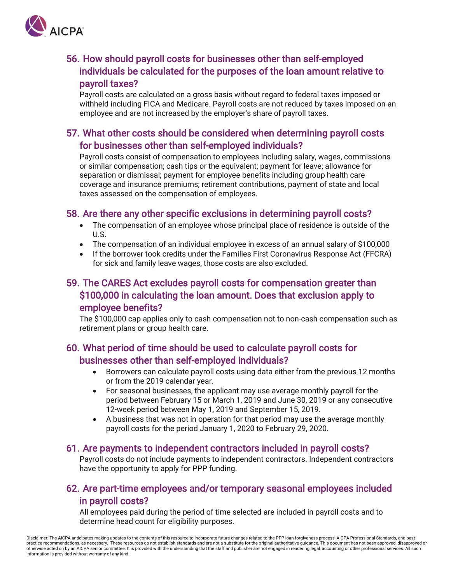

# 56. How should payroll costs for businesses other than self-employed individuals be calculated for the purposes of the loan amount relative to payroll taxes?

Payroll costs are calculated on a gross basis without regard to federal taxes imposed or withheld including FICA and Medicare. Payroll costs are not reduced by taxes imposed on an employee and are not increased by the employer's share of payroll taxes.

### 57. What other costs should be considered when determining payroll costs for businesses other than self-employed individuals?

Payroll costs consist of compensation to employees including salary, wages, commissions or similar compensation; cash tips or the equivalent; payment for leave; allowance for separation or dismissal; payment for employee benefits including group health care coverage and insurance premiums; retirement contributions, payment of state and local taxes assessed on the compensation of employees.

#### 58. Are there any other specific exclusions in determining payroll costs?

- The compensation of an employee whose principal place of residence is outside of the U.S.
- The compensation of an individual employee in excess of an annual salary of \$100,000
- If the borrower took credits under the Families First Coronavirus Response Act (FFCRA) for sick and family leave wages, those costs are also excluded.

## 59. The CARES Act excludes payroll costs for compensation greater than \$100,000 in calculating the loan amount. Does that exclusion apply to employee benefits?

The \$100,000 cap applies only to cash compensation not to non-cash compensation such as retirement plans or group health care.

### 60. What period of time should be used to calculate payroll costs for businesses other than self-employed individuals?

- Borrowers can calculate payroll costs using data either from the previous 12 months or from the 2019 calendar year.
- For seasonal businesses, the applicant may use average monthly payroll for the period between February 15 or March 1, 2019 and June 30, 2019 or any consecutive 12-week period between May 1, 2019 and September 15, 2019.
- A business that was not in operation for that period may use the average monthly payroll costs for the period January 1, 2020 to February 29, 2020.

#### 61. Are payments to independent contractors included in payroll costs?

Payroll costs do not include payments to independent contractors. Independent contractors have the opportunity to apply for PPP funding.

# 62. Are part-time employees and/or temporary seasonal employees included in payroll costs?

All employees paid during the period of time selected are included in payroll costs and to determine head count for eligibility purposes.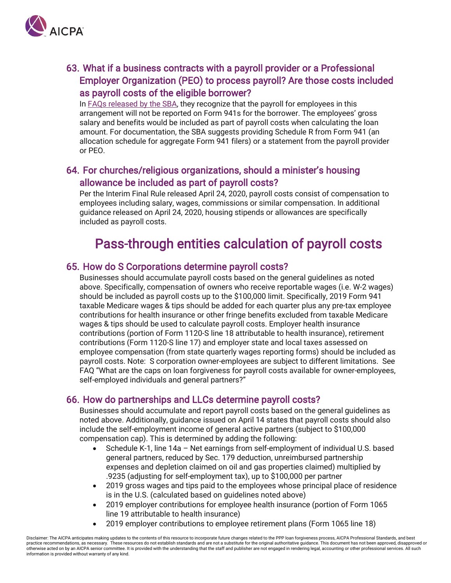<span id="page-14-0"></span>

# 63. What if a business contracts with a payroll provider or a Professional Employer Organization (PEO) to process payroll? Are those costs included as payroll costs of the eligible borrower?

In [FAQs released by the SBA,](https://home.treasury.gov/system/files/136/Paycheck-Protection-Program-Frequently-Asked-Questions.pdf) they recognize that the payroll for employees in this arrangement will not be reported on Form 941s for the borrower. The employees' gross salary and benefits would be included as part of payroll costs when calculating the loan amount. For documentation, the SBA suggests providing Schedule R from Form 941 (an allocation schedule for aggregate Form 941 filers) or a statement from the payroll provider or PEO.

#### 64. For churches/religious organizations, should a minister's housing allowance be included as part of payroll costs?

Per the Interim Final Rule released April 24, 2020, payroll costs consist of compensation to employees including salary, wages, commissions or similar compensation. In additional guidance released on April 24, 2020, housing stipends or allowances are specifically included as payroll costs.

# Pass-through entities calculation of payroll costs

#### 65. How do S Corporations determine payroll costs?

Businesses should accumulate payroll costs based on the general guidelines as noted above. Specifically, compensation of owners who receive reportable wages (i.e. W-2 wages) should be included as payroll costs up to the \$100,000 limit. Specifically, 2019 Form 941 taxable Medicare wages & tips should be added for each quarter plus any pre-tax employee contributions for health insurance or other fringe benefits excluded from taxable Medicare wages & tips should be used to calculate payroll costs. Employer health insurance contributions (portion of Form 1120-S line 18 attributable to health insurance), retirement contributions (Form 1120-S line 17) and employer state and local taxes assessed on employee compensation (from state quarterly wages reporting forms) should be included as payroll costs. Note: S corporation owner-employees are subject to different limitations. See FAQ "What are the caps on loan forgiveness for payroll costs available for owner-employees, self-employed individuals and general partners?"

#### 66. How do partnerships and LLCs determine payroll costs?

Businesses should accumulate and report payroll costs based on the general guidelines as noted above. Additionally, guidance issued on April 14 states that payroll costs should also include the self-employment income of general active partners (subject to \$100,000 compensation cap). This is determined by adding the following:

- Schedule K-1, line 14a Net earnings from self-employment of individual U.S. based general partners, reduced by Sec. 179 deduction, unreimbursed partnership expenses and depletion claimed on oil and gas properties claimed) multiplied by .9235 (adjusting for self-employment tax), up to \$100,000 per partner
- 2019 gross wages and tips paid to the employees whose principal place of residence is in the U.S. (calculated based on guidelines noted above)
- 2019 employer contributions for employee health insurance (portion of Form 1065 line 19 attributable to health insurance)
- 2019 employer contributions to employee retirement plans (Form 1065 line 18)

Disclaimer: The AICPA anticipates making updates to the contents of this resource to incorporate future changes related to the PPP loan forgiveness process, AICPA Professional Standards, and best practice recommendations, as necessary. These resources do not establish standards and are not a substitute for the original authoritative guidance. This document has not been approved, disapproved or otherwise acted on by an AICPA senior committee. It is provided with the understanding that the staff and publisher are not engaged in rendering legal, accounting or other professional services. All such information is provided without warranty of any kind.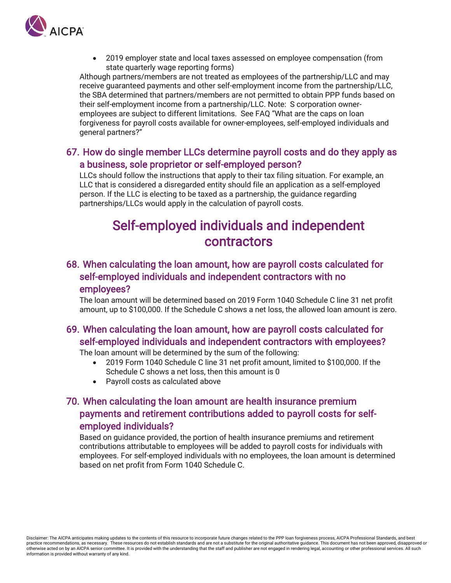<span id="page-15-0"></span>

• 2019 employer state and local taxes assessed on employee compensation (from state quarterly wage reporting forms)

Although partners/members are not treated as employees of the partnership/LLC and may receive guaranteed payments and other self-employment income from the partnership/LLC, the SBA determined that partners/members are not permitted to obtain PPP funds based on their self-employment income from a partnership/LLC. Note: S corporation owneremployees are subject to different limitations. See FAQ "What are the caps on loan forgiveness for payroll costs available for owner-employees, self-employed individuals and general partners?"

#### 67. How do single member LLCs determine payroll costs and do they apply as a business, sole proprietor or self-employed person?

LLCs should follow the instructions that apply to their tax filing situation. For example, an LLC that is considered a disregarded entity should file an application as a self-employed person. If the LLC is electing to be taxed as a partnership, the guidance regarding partnerships/LLCs would apply in the calculation of payroll costs.

# Self-employed individuals and independent contractors

## 68. When calculating the loan amount, how are payroll costs calculated for self-employed individuals and independent contractors with no employees?

The loan amount will be determined based on 2019 Form 1040 Schedule C line 31 net profit amount, up to \$100,000. If the Schedule C shows a net loss, the allowed loan amount is zero.

# 69. When calculating the loan amount, how are payroll costs calculated for self-employed individuals and independent contractors with employees?

The loan amount will be determined by the sum of the following:

- 2019 Form 1040 Schedule C line 31 net profit amount, limited to \$100,000. If the Schedule C shows a net loss, then this amount is 0
- Payroll costs as calculated above

# 70. When calculating the loan amount are health insurance premium payments and retirement contributions added to payroll costs for selfemployed individuals?

Based on guidance provided, the portion of health insurance premiums and retirement contributions attributable to employees will be added to payroll costs for individuals with employees. For self-employed individuals with no employees, the loan amount is determined based on net profit from Form 1040 Schedule C.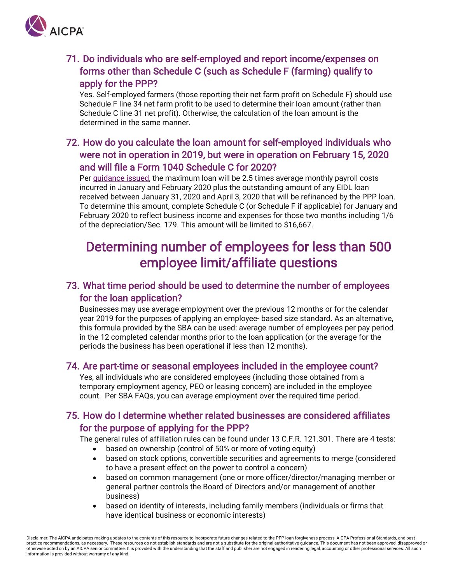<span id="page-16-0"></span>

# 71. Do individuals who are self-employed and report income/expenses on forms other than Schedule C (such as Schedule F (farming) qualify to apply for the PPP?

Yes. Self-employed farmers (those reporting their net farm profit on Schedule F) should use Schedule F line 34 net farm profit to be used to determine their loan amount (rather than Schedule C line 31 net profit). Otherwise, the calculation of the loan amount is the determined in the same manner.

# 72. How do you calculate the loan amount for self-employed individuals who were not in operation in 2019, but were in operation on February 15, 2020 and will file a Form 1040 Schedule C for 2020?

Per [guidance issued,](https://home.treasury.gov/system/files/136/How-to-Calculate-Loan-Amounts.pdf) the maximum loan will be 2.5 times average monthly payroll costs incurred in January and February 2020 plus the outstanding amount of any EIDL loan received between January 31, 2020 and April 3, 2020 that will be refinanced by the PPP loan. To determine this amount, complete Schedule C (or Schedule F if applicable) for January and February 2020 to reflect business income and expenses for those two months including 1/6 of the depreciation/Sec. 179. This amount will be limited to \$16,667.

# Determining number of employees for less than 500 employee limit/affiliate questions

### 73. What time period should be used to determine the number of employees for the loan application?

Businesses may use average employment over the previous 12 months or for the calendar year 2019 for the purposes of applying an employee- based size standard. As an alternative, this formula provided by the SBA can be used: average number of employees per pay period in the 12 completed calendar months prior to the loan application (or the average for the periods the business has been operational if less than 12 months).

#### 74. Are part-time or seasonal employees included in the employee count?

Yes, all individuals who are considered employees (including those obtained from a temporary employment agency, PEO or leasing concern) are included in the employee count. Per SBA FAQs, you can average employment over the required time period.

#### 75. How do I determine whether related businesses are considered affiliates for the purpose of applying for the PPP?

The general rules of affiliation rules can be found under 13 C.F.R. 121.301. There are 4 tests:

- based on ownership (control of 50% or more of voting equity)
- based on stock options, convertible securities and agreements to merge (considered to have a present effect on the power to control a concern)
- based on common management (one or more officer/director/managing member or general partner controls the Board of Directors and/or management of another business)
- based on identity of interests, including family members (individuals or firms that have identical business or economic interests)